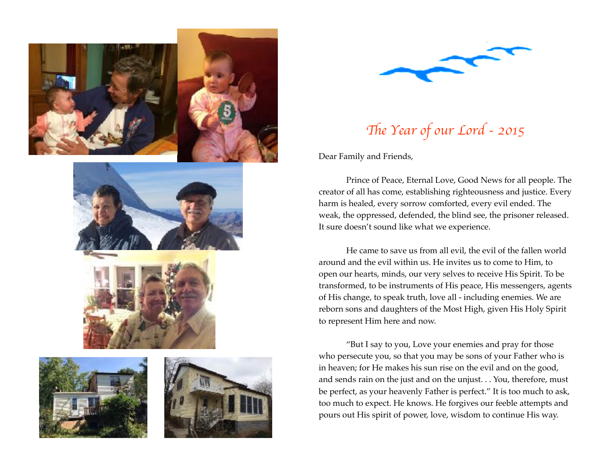











## Th*e Year of our Lord - 2015*

Dear Family and Friends,

Prince of Peace, Eternal Love, Good News for all people. The creator of all has come, establishing righteousness and justice. Every harm is healed, every sorrow comforted, every evil ended. The weak, the oppressed, defended, the blind see, the prisoner released. It sure doesn't sound like what we experience.

He came to save us from all evil, the evil of the fallen world around and the evil within us. He invites us to come to Him, to open our hearts, minds, our very selves to receive His Spirit. To be transformed, to be instruments of His peace, His messengers, agents of His change, to speak truth, love all - including enemies. We are reborn sons and daughters of the Most High, given His Holy Spirit to represent Him here and now.

"But I say to you, Love your enemies and pray for those who persecute you, so that you may be sons of your Father who is in heaven; for He makes his sun rise on the evil and on the good, and sends rain on the just and on the unjust. . . You, therefore, must be perfect, as your heavenly Father is perfect." It is too much to ask, too much to expect. He knows. He forgives our feeble attempts and pours out His spirit of power, love, wisdom to continue His way.